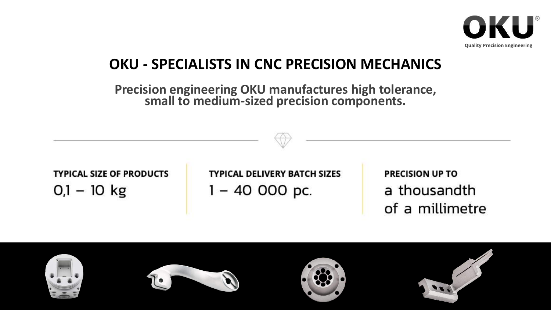

## **OKU - SPECIALISTS IN CNC PRECISION MECHANICS**

**Precision engineering OKU manufactures high tolerance, small to medium-sized precision components.** 

**TYPICAL SIZE OF PRODUCTS**  $0,1 - 10$  kg

**TYPICAL DELIVERY BATCH SIZES**  $1 - 40000$  pc.

**PRECISION UP TO** a thousandth of a millimetre

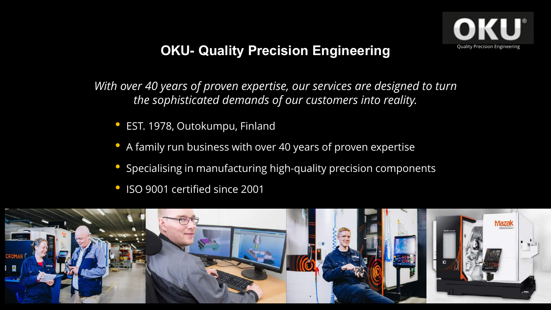

### **OKU- Quality Precision Engineering**

*With over 40 years of proven expertise, our services are designed to turn the sophisticated demands of our customers into reality.* 

- EST. 1978, Outokumpu, Finland
- A family run business with over 40 years of proven expertise
- Specialising in manufacturing high-quality precision components
- ISO 9001 certified since 2001

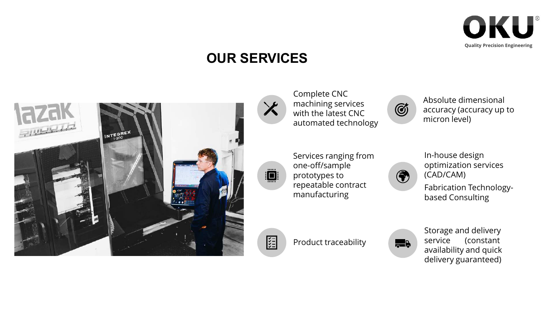

### **OUR SERVICES**



Complete CNC machining services with the latest CNC automated technology

Absolute dimensional accuracy (accuracy up to micron level)



X

Services ranging from one-off/sample prototypes to repeatable contract manufacturing



G

In-house design optimization services (CAD/CAM)

Fabrication Technologybased Consulting



Product traceability



Storage and delivery service (constant availability and quick delivery guaranteed)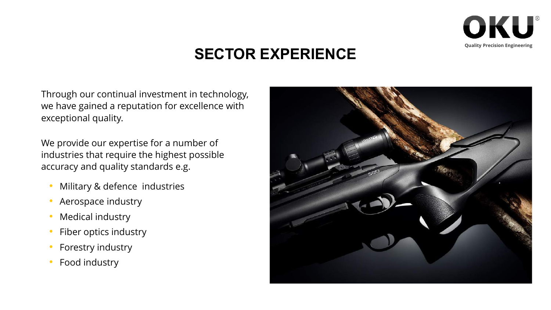

## **SECTOR EXPERIENCE**

Through our continual investment in technology, we have gained a reputation for excellence with exceptional quality.

We provide our expertise for a number of industries that require the highest possible accuracy and quality standards e.g.

- Military & defence industries
- Aerospace industry
- Medical industry
- Fiber optics industry
- Forestry industry
- Food industry

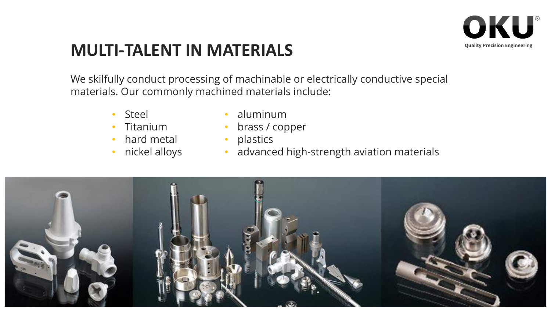

# **MULTI-TALENT IN MATERIALS**

We skilfully conduct processing of machinable or electrically conductive special materials. Our commonly machined materials include:

- Steel
- Titanium
- hard metal
- nickel alloys
- aluminum
- brass / copper
- plastics
- advanced high-strength aviation materials

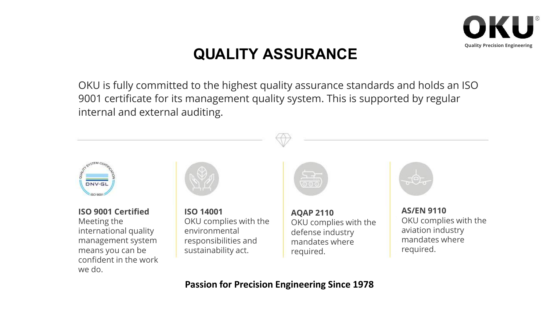

# **QUALITY ASSURANCE**

OKU is fully committed to the highest quality assurance standards and holds an ISO 9001 certificate for its management quality system. This is supported by regular internal and external auditing.



#### **Passion for Precision Engineering Since 1978**